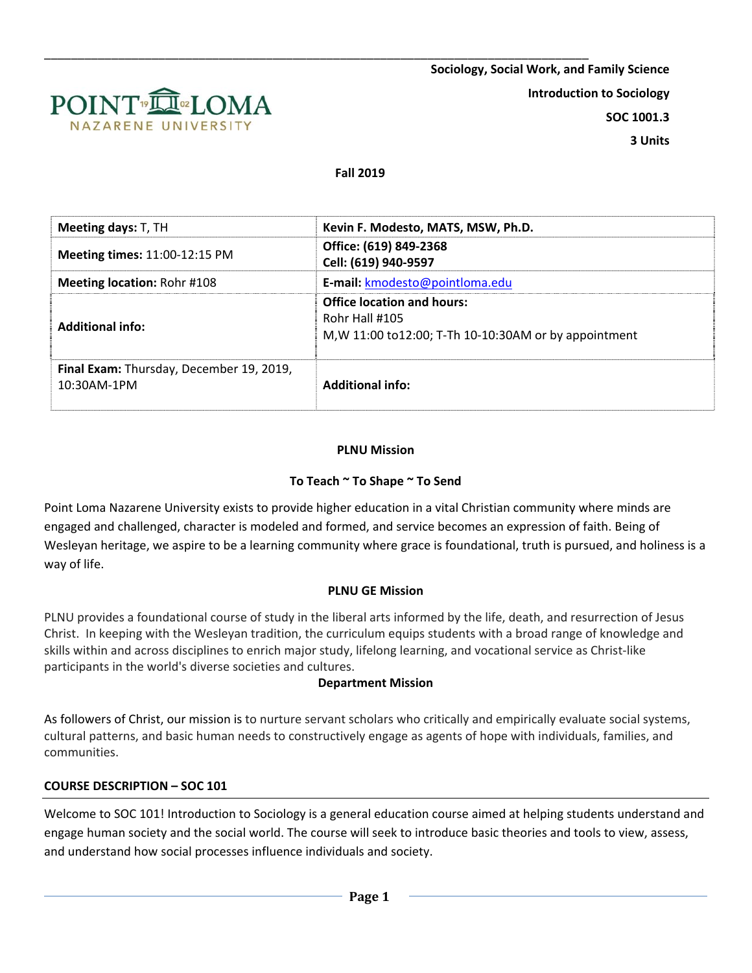

#### **Fall 2019**

| Meeting days: T, TH                                        | Kevin F. Modesto, MATS, MSW, Ph.D.                                                                            |  |  |
|------------------------------------------------------------|---------------------------------------------------------------------------------------------------------------|--|--|
| <b>Meeting times: 11:00-12:15 PM</b>                       | Office: (619) 849-2368<br>Cell: (619) 940-9597                                                                |  |  |
| <b>Meeting location: Rohr #108</b>                         | E-mail: kmodesto@pointloma.edu                                                                                |  |  |
| <b>Additional info:</b>                                    | <b>Office location and hours:</b><br>Rohr Hall #105<br>M, W 11:00 to 12:00; T-Th 10-10:30AM or by appointment |  |  |
| Final Exam: Thursday, December 19, 2019,<br>$10:30$ AM-1PM | <b>Additional info:</b>                                                                                       |  |  |

#### **PLNU Mission**

#### **To Teach ~ To Shape ~ To Send**

Point Loma Nazarene University exists to provide higher education in a vital Christian community where minds are engaged and challenged, character is modeled and formed, and service becomes an expression of faith. Being of Wesleyan heritage, we aspire to be a learning community where grace is foundational, truth is pursued, and holiness is a way of life.

#### **PLNU GE Mission**

PLNU provides a foundational course of study in the liberal arts informed by the life, death, and resurrection of Jesus Christ. In keeping with the Wesleyan tradition, the curriculum equips students with a broad range of knowledge and skills within and across disciplines to enrich major study, lifelong learning, and vocational service as Christ-like participants in the world's diverse societies and cultures.

#### **Department Mission**

As followers of Christ, our mission is to nurture servant scholars who critically and empirically evaluate social systems, cultural patterns, and basic human needs to constructively engage as agents of hope with individuals, families, and communities.

#### **COURSE DESCRIPTION – SOC 101**

Welcome to SOC 101! Introduction to Sociology is a general education course aimed at helping students understand and engage human society and the social world. The course will seek to introduce basic theories and tools to view, assess, and understand how social processes influence individuals and society.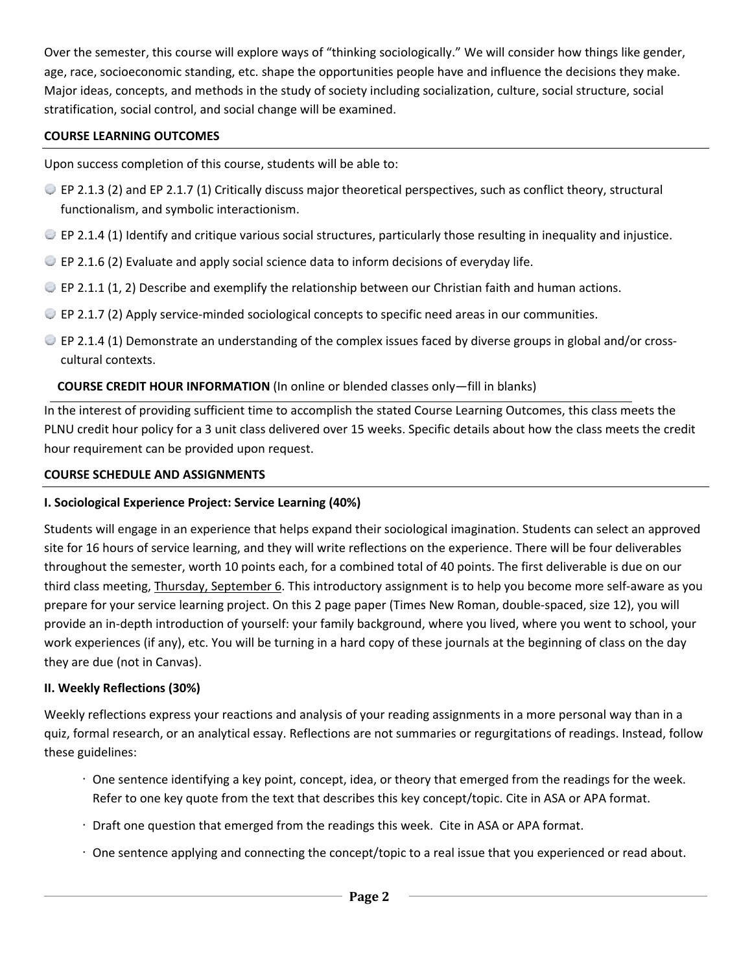Over the semester, this course will explore ways of "thinking sociologically." We will consider how things like gender, age, race, socioeconomic standing, etc. shape the opportunities people have and influence the decisions they make. Major ideas, concepts, and methods in the study of society including socialization, culture, social structure, social stratification, social control, and social change will be examined.

### **COURSE LEARNING OUTCOMES**

Upon success completion of this course, students will be able to:

- $\degree$  EP 2.1.3 (2) and EP 2.1.7 (1) Critically discuss major theoretical perspectives, such as conflict theory, structural functionalism, and symbolic interactionism.
- $\bullet$  EP 2.1.4 (1) Identify and critique various social structures, particularly those resulting in inequality and injustice.
- $\bullet$  EP 2.1.6 (2) Evaluate and apply social science data to inform decisions of everyday life.
- $\bullet$  EP 2.1.1 (1, 2) Describe and exemplify the relationship between our Christian faith and human actions.
- $\bullet$  EP 2.1.7 (2) Apply service-minded sociological concepts to specific need areas in our communities.
- $\bullet$  EP 2.1.4 (1) Demonstrate an understanding of the complex issues faced by diverse groups in global and/or crosscultural contexts.

# **COURSE CREDIT HOUR INFORMATION** (In online or blended classes only—fill in blanks)

In the interest of providing sufficient time to accomplish the stated Course Learning Outcomes, this class meets the PLNU credit hour policy for a 3 unit class delivered over 15 weeks. Specific details about how the class meets the credit hour requirement can be provided upon request.

# **COURSE SCHEDULE AND ASSIGNMENTS**

# **I. Sociological Experience Project: Service Learning (40%)**

Students will engage in an experience that helps expand their sociological imagination. Students can select an approved site for 16 hours of service learning, and they will write reflections on the experience. There will be four deliverables throughout the semester, worth 10 points each, for a combined total of 40 points. The first deliverable is due on our third class meeting, Thursday, September 6. This introductory assignment is to help you become more self‐aware as you prepare for your service learning project. On this 2 page paper (Times New Roman, double‐spaced, size 12), you will provide an in‐depth introduction of yourself: your family background, where you lived, where you went to school, your work experiences (if any), etc. You will be turning in a hard copy of these journals at the beginning of class on the day they are due (not in Canvas).

# **II. Weekly Reflections (30%)**

Weekly reflections express your reactions and analysis of your reading assignments in a more personal way than in a quiz, formal research, or an analytical essay. Reflections are not summaries or regurgitations of readings. Instead, follow these guidelines:

- One sentence identifying a key point, concept, idea, or theory that emerged from the readings for the week. Refer to one key quote from the text that describes this key concept/topic. Cite in ASA or APA format.
- Draft one question that emerged from the readings this week. Cite in ASA or APA format.
- One sentence applying and connecting the concept/topic to a real issue that you experienced or read about.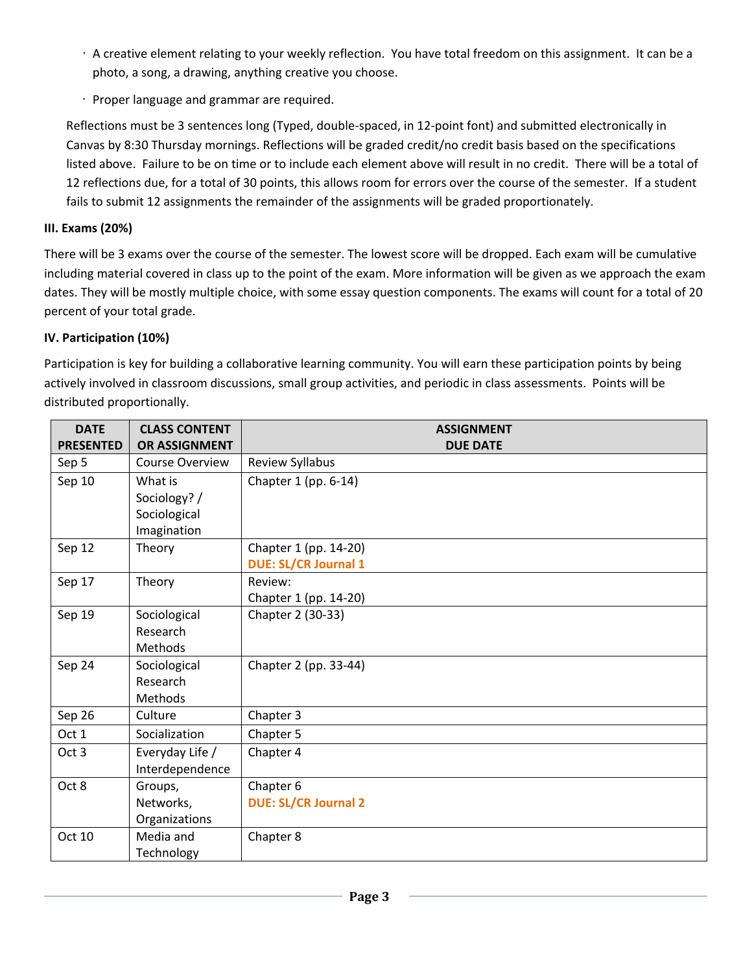- A creative element relating to your weekly reflection. You have total freedom on this assignment. It can be a photo, a song, a drawing, anything creative you choose.
- Proper language and grammar are required.

Reflections must be 3 sentences long (Typed, double‐spaced, in 12‐point font) and submitted electronically in Canvas by 8:30 Thursday mornings. Reflections will be graded credit/no credit basis based on the specifications listed above. Failure to be on time or to include each element above will result in no credit. There will be a total of 12 reflections due, for a total of 30 points, this allows room for errors over the course of the semester. If a student fails to submit 12 assignments the remainder of the assignments will be graded proportionately.

## **III. Exams (20%)**

There will be 3 exams over the course of the semester. The lowest score will be dropped. Each exam will be cumulative including material covered in class up to the point of the exam. More information will be given as we approach the exam dates. They will be mostly multiple choice, with some essay question components. The exams will count for a total of 20 percent of your total grade.

### **IV. Participation (10%)**

Participation is key for building a collaborative learning community. You will earn these participation points by being actively involved in classroom discussions, small group activities, and periodic in class assessments. Points will be distributed proportionally.

| <b>DATE</b><br><b>PRESENTED</b> | <b>CLASS CONTENT</b><br>OR ASSIGNMENT                  | <b>ASSIGNMENT</b><br><b>DUE DATE</b>                 |
|---------------------------------|--------------------------------------------------------|------------------------------------------------------|
| Sep 5                           | <b>Course Overview</b>                                 | Review Syllabus                                      |
| Sep 10                          | What is<br>Sociology? /<br>Sociological<br>Imagination | Chapter 1 (pp. 6-14)                                 |
| Sep 12                          | Theory                                                 | Chapter 1 (pp. 14-20)<br><b>DUE: SL/CR Journal 1</b> |
| Sep 17                          | Theory                                                 | Review:<br>Chapter 1 (pp. 14-20)                     |
| Sep 19                          | Sociological<br>Research<br>Methods                    | Chapter 2 (30-33)                                    |
| Sep 24                          | Sociological<br>Research<br>Methods                    | Chapter 2 (pp. 33-44)                                |
| Sep 26                          | Culture                                                | Chapter 3                                            |
| Oct 1                           | Socialization                                          | Chapter 5                                            |
| Oct <sub>3</sub>                | Everyday Life /<br>Interdependence                     | Chapter 4                                            |
| Oct 8                           | Groups,<br>Networks,<br>Organizations                  | Chapter 6<br><b>DUE: SL/CR Journal 2</b>             |
| Oct 10                          | Media and<br>Technology                                | Chapter 8                                            |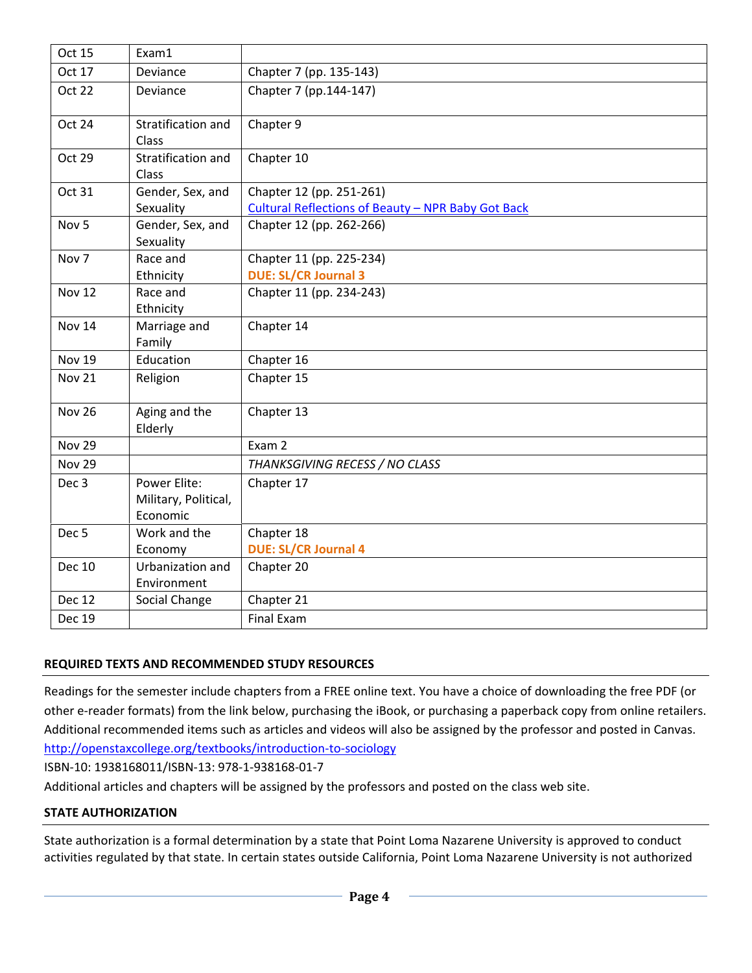| <b>Oct 15</b>    | Exam1                                            |                                                                                |  |
|------------------|--------------------------------------------------|--------------------------------------------------------------------------------|--|
| Oct 17           | Deviance                                         | Chapter 7 (pp. 135-143)                                                        |  |
| <b>Oct 22</b>    | Deviance                                         | Chapter 7 (pp.144-147)                                                         |  |
| Oct 24           | Stratification and<br>Class                      | Chapter 9                                                                      |  |
| Oct 29           | Stratification and<br>Class                      | Chapter 10                                                                     |  |
| Oct 31           | Gender, Sex, and<br>Sexuality                    | Chapter 12 (pp. 251-261)<br>Cultural Reflections of Beauty - NPR Baby Got Back |  |
| Nov <sub>5</sub> | Gender, Sex, and<br>Sexuality                    | Chapter 12 (pp. 262-266)                                                       |  |
| Nov <sub>7</sub> | Race and<br>Ethnicity                            | Chapter 11 (pp. 225-234)<br><b>DUE: SL/CR Journal 3</b>                        |  |
| <b>Nov 12</b>    | Race and<br>Ethnicity                            | Chapter 11 (pp. 234-243)                                                       |  |
| Nov 14           | Marriage and<br>Family                           | Chapter 14                                                                     |  |
| <b>Nov 19</b>    | Education                                        | Chapter 16                                                                     |  |
| <b>Nov 21</b>    | Religion                                         | Chapter 15                                                                     |  |
| <b>Nov 26</b>    | Aging and the<br>Elderly                         | Chapter 13                                                                     |  |
| <b>Nov 29</b>    |                                                  | Exam 2                                                                         |  |
| <b>Nov 29</b>    |                                                  | THANKSGIVING RECESS / NO CLASS                                                 |  |
| Dec <sub>3</sub> | Power Elite:<br>Military, Political,<br>Economic | Chapter 17                                                                     |  |
| Dec <sub>5</sub> | Work and the<br>Economy                          | Chapter 18<br><b>DUE: SL/CR Journal 4</b>                                      |  |
| <b>Dec 10</b>    | Urbanization and<br>Environment                  | Chapter 20                                                                     |  |
| <b>Dec 12</b>    | Social Change                                    | Chapter 21                                                                     |  |
| <b>Dec 19</b>    |                                                  | <b>Final Exam</b>                                                              |  |

### **REQUIRED TEXTS AND RECOMMENDED STUDY RESOURCES**

Readings for the semester include chapters from a FREE online text. You have a choice of downloading the free PDF (or other e-reader formats) from the link below, purchasing the iBook, or purchasing a paperback copy from online retailers. Additional recommended items such as articles and videos will also be assigned by the professor and posted in Canvas. http://openstaxcollege.org/textbooks/introduction‐to‐sociology

ISBN‐10: 1938168011/ISBN‐13: 978‐1‐938168‐01‐7

Additional articles and chapters will be assigned by the professors and posted on the class web site.

### **STATE AUTHORIZATION**

State authorization is a formal determination by a state that Point Loma Nazarene University is approved to conduct activities regulated by that state. In certain states outside California, Point Loma Nazarene University is not authorized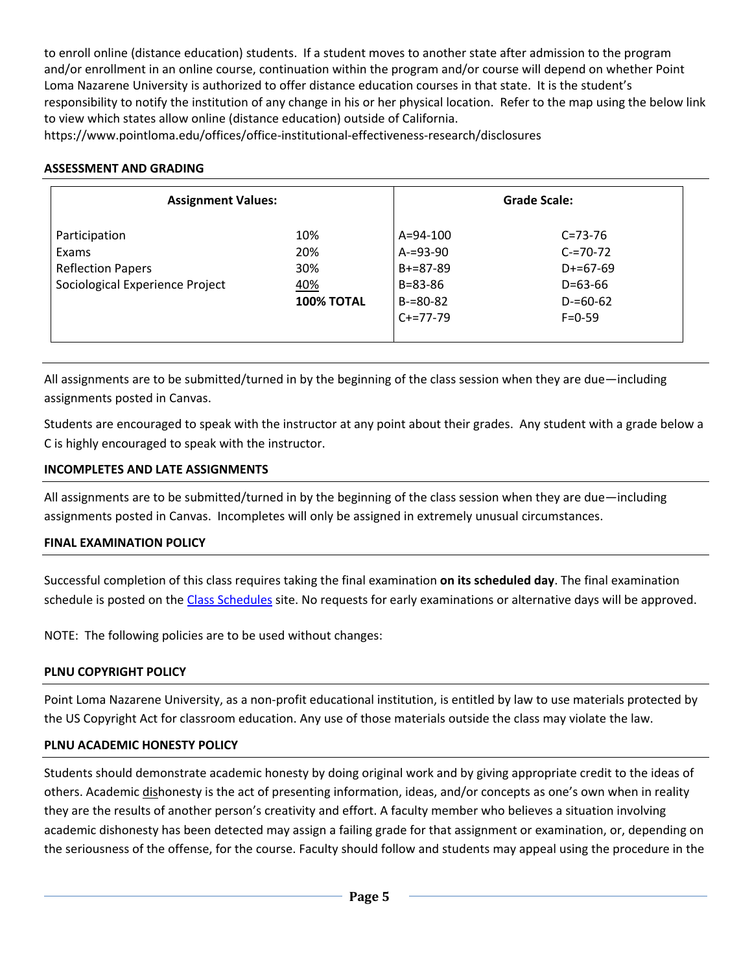to enroll online (distance education) students. If a student moves to another state after admission to the program and/or enrollment in an online course, continuation within the program and/or course will depend on whether Point Loma Nazarene University is authorized to offer distance education courses in that state. It is the student's responsibility to notify the institution of any change in his or her physical location. Refer to the map using the below link to view which states allow online (distance education) outside of California.

https://www.pointloma.edu/offices/office‐institutional‐effectiveness‐research/disclosures

### **ASSESSMENT AND GRADING**

| <b>Assignment Values:</b>       |                   |                 | Grade Scale:  |  |
|---------------------------------|-------------------|-----------------|---------------|--|
| Participation                   | 10%               | $A = 94 - 100$  | $C = 73 - 76$ |  |
| Exams                           | 20%               | $A = 93 - 90$   | $C = 70 - 72$ |  |
| <b>Reflection Papers</b>        | 30%               | $B + = 87 - 89$ | $D+=67-69$    |  |
| Sociological Experience Project | 40%               | $B = 83 - 86$   | $D=63-66$     |  |
|                                 | <b>100% TOTAL</b> | $B = 80 - 82$   | $D = 60 - 62$ |  |
|                                 |                   | $C+=77-79$      | $F = 0 - 59$  |  |
|                                 |                   |                 |               |  |

All assignments are to be submitted/turned in by the beginning of the class session when they are due—including assignments posted in Canvas.

Students are encouraged to speak with the instructor at any point about their grades. Any student with a grade below a C is highly encouraged to speak with the instructor.

### **INCOMPLETES AND LATE ASSIGNMENTS**

All assignments are to be submitted/turned in by the beginning of the class session when they are due—including assignments posted in Canvas. Incompletes will only be assigned in extremely unusual circumstances.

### **FINAL EXAMINATION POLICY**

Successful completion of this class requires taking the final examination **on its scheduled day**. The final examination schedule is posted on the Class Schedules site. No requests for early examinations or alternative days will be approved.

NOTE: The following policies are to be used without changes:

# **PLNU COPYRIGHT POLICY**

Point Loma Nazarene University, as a non‐profit educational institution, is entitled by law to use materials protected by the US Copyright Act for classroom education. Any use of those materials outside the class may violate the law.

### **PLNU ACADEMIC HONESTY POLICY**

Students should demonstrate academic honesty by doing original work and by giving appropriate credit to the ideas of others. Academic dishonesty is the act of presenting information, ideas, and/or concepts as one's own when in reality they are the results of another person's creativity and effort. A faculty member who believes a situation involving academic dishonesty has been detected may assign a failing grade for that assignment or examination, or, depending on the seriousness of the offense, for the course. Faculty should follow and students may appeal using the procedure in the